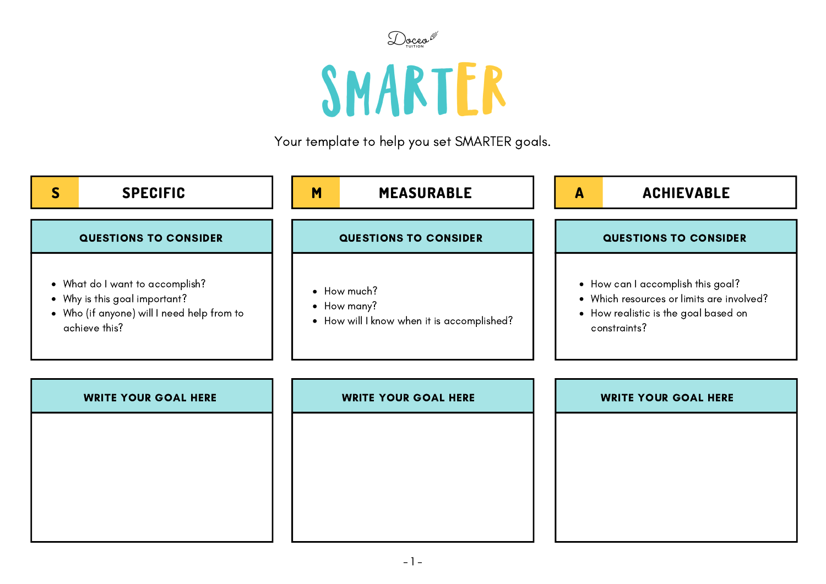

## SMARTER

Your template to help you set SMARTER goals.

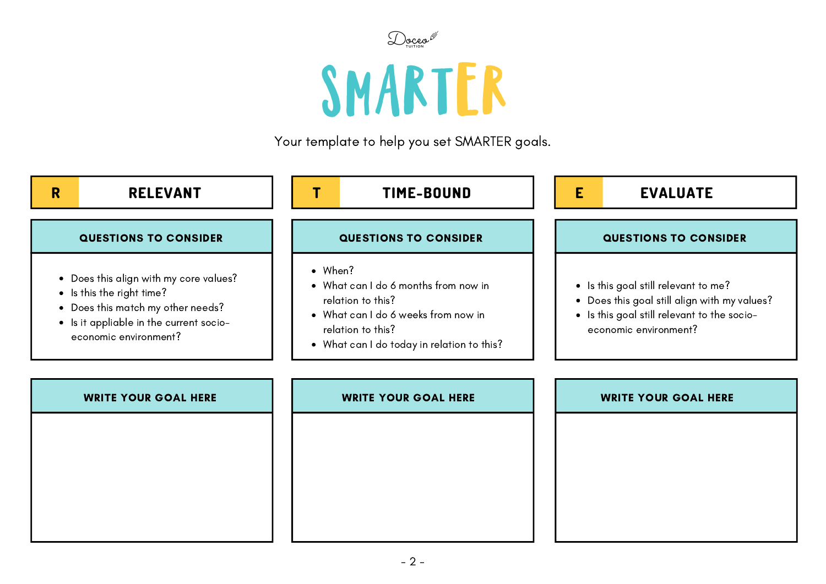

## SMARTER

Your template to help you set SMARTER goals.